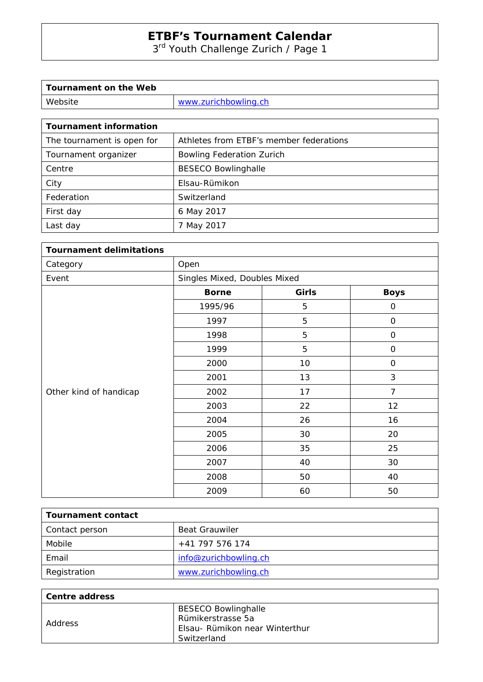3<sup>rd</sup> Youth Challenge Zurich / Page 1

| Tournament on the Web |                      |
|-----------------------|----------------------|
| Website               | www.zurichbowling.ch |

| <b>Tournament information</b> |                                         |
|-------------------------------|-----------------------------------------|
| The tournament is open for    | Athletes from ETBF's member federations |
| Tournament organizer          | <b>Bowling Federation Zurich</b>        |
| Centre                        | <b>BESECO Bowlinghalle</b>              |
| City                          | Elsau-Rümikon                           |
| Federation                    | Switzerland                             |
| First day                     | 6 May 2017                              |
| Last day                      | 7 May 2017                              |

| <b>Tournament delimitations</b> |                              |       |                |
|---------------------------------|------------------------------|-------|----------------|
| Category                        | Open                         |       |                |
| Event                           | Singles Mixed, Doubles Mixed |       |                |
|                                 | <b>Borne</b>                 | Girls | <b>Boys</b>    |
|                                 | 1995/96                      | 5     | $\mathsf O$    |
|                                 | 1997                         | 5     | $\mathbf 0$    |
|                                 | 1998                         | 5     | $\mathbf 0$    |
|                                 | 1999                         | 5     | $\mathsf O$    |
| Other kind of handicap          | 2000                         | 10    | $\mathbf{O}$   |
|                                 | 2001                         | 13    | $\mathfrak{Z}$ |
|                                 | 2002                         | 17    | $\overline{7}$ |
|                                 | 2003                         | 22    | 12             |
|                                 | 2004                         | 26    | 16             |
|                                 | 2005                         | 30    | 20             |
|                                 | 2006                         | 35    | 25             |
|                                 | 2007                         | 40    | 30             |
|                                 | 2008                         | 50    | 40             |
|                                 | 2009                         | 60    | 50             |

| Tournament contact |                       |
|--------------------|-----------------------|
| Contact person     | <b>Beat Grauwiler</b> |
| Mobile             | +41 797 576 174       |
| Email              | info@zurichbowling.ch |
| Registration       | www.zurichbowling.ch  |

| Centre address |                                |
|----------------|--------------------------------|
|                | <b>BESECO Bowlinghalle</b>     |
| Address        | Rümikerstrasse 5a              |
|                | Elsau- Rümikon near Winterthur |
|                | Switzerland                    |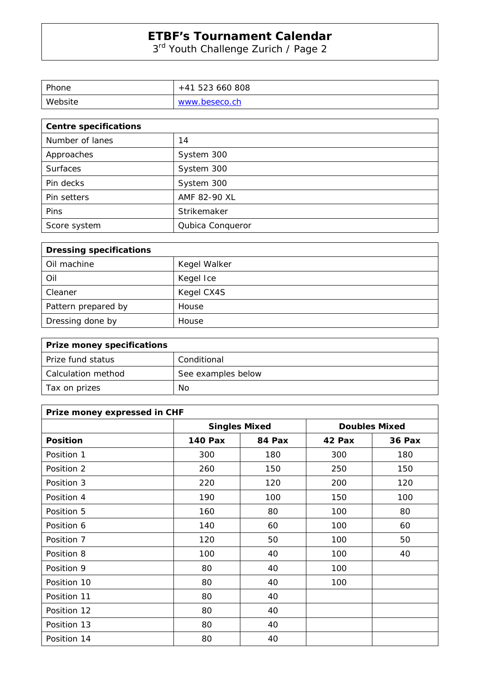3<sup>rd</sup> Youth Challenge Zurich / Page 2

| Phone   | +41 523 660 808 |
|---------|-----------------|
| Website | www.beseco.ch   |

| <b>Centre specifications</b> |                  |  |
|------------------------------|------------------|--|
| Number of lanes              | 14               |  |
| Approaches                   | System 300       |  |
| <b>Surfaces</b>              | System 300       |  |
| Pin decks                    | System 300       |  |
| Pin setters                  | AMF 82-90 XL     |  |
| Pins                         | Strikemaker      |  |
| Score system                 | Qubica Conqueror |  |

| <b>Dressing specifications</b> |              |
|--------------------------------|--------------|
| Oil machine                    | Kegel Walker |
| Oil                            | Kegel Ice    |
| Cleaner                        | Kegel CX4S   |
| Pattern prepared by            | House        |
| Dressing done by               | House        |

| <b>Prize money specifications</b> |                    |
|-----------------------------------|--------------------|
| Prize fund status                 | Conditional        |
| Calculation method                | See examples below |
| Tax on prizes                     | No                 |

| Prize money expressed in CHF |                      |        |                      |               |
|------------------------------|----------------------|--------|----------------------|---------------|
|                              | <b>Singles Mixed</b> |        | <b>Doubles Mixed</b> |               |
| <b>Position</b>              | <b>140 Pax</b>       | 84 Pax | 42 Pax               | <b>36 Pax</b> |
| Position 1                   | 300                  | 180    | 300                  | 180           |
| Position 2                   | 260                  | 150    | 250                  | 150           |
| Position 3                   | 220                  | 120    | 200                  | 120           |
| Position 4                   | 190                  | 100    | 150                  | 100           |
| Position 5                   | 160                  | 80     | 100                  | 80            |
| Position 6                   | 140                  | 60     | 100                  | 60            |
| Position 7                   | 120                  | 50     | 100                  | 50            |
| Position 8                   | 100                  | 40     | 100                  | 40            |
| Position 9                   | 80                   | 40     | 100                  |               |
| Position 10                  | 80                   | 40     | 100                  |               |
| Position 11                  | 80                   | 40     |                      |               |
| Position 12                  | 80                   | 40     |                      |               |
| Position 13                  | 80                   | 40     |                      |               |
| Position 14                  | 80                   | 40     |                      |               |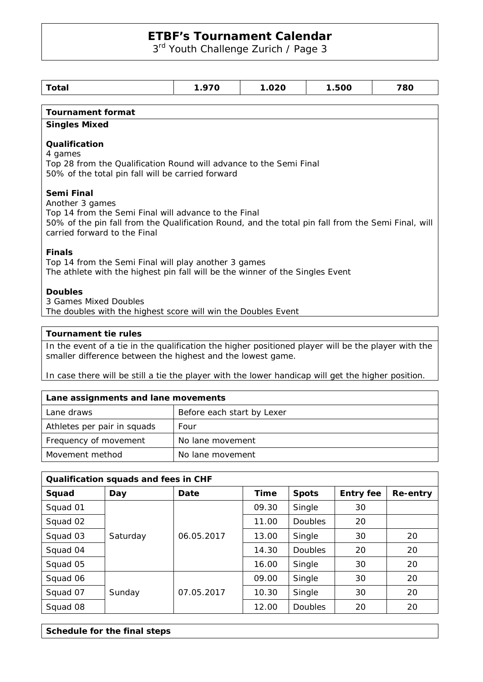3rd Youth Challenge Zurich / Page 3

| Total                                                                                                                                                                                                                       | 1.970 | 1.020 | 1.500 | 780 |
|-----------------------------------------------------------------------------------------------------------------------------------------------------------------------------------------------------------------------------|-------|-------|-------|-----|
|                                                                                                                                                                                                                             |       |       |       |     |
| <b>Tournament format</b>                                                                                                                                                                                                    |       |       |       |     |
| <b>Singles Mixed</b>                                                                                                                                                                                                        |       |       |       |     |
| Qualification<br>4 games<br>Top 28 from the Qualification Round will advance to the Semi Final<br>50% of the total pin fall will be carried forward                                                                         |       |       |       |     |
| Semi Final<br>Another 3 games<br>Top 14 from the Semi Final will advance to the Final<br>50% of the pin fall from the Qualification Round, and the total pin fall from the Semi Final, will<br>carried forward to the Final |       |       |       |     |
| <b>Finals</b><br>Top 14 from the Semi Final will play another 3 games<br>The athlete with the highest pin fall will be the winner of the Singles Event                                                                      |       |       |       |     |
| <b>Doubles</b><br>3 Games Mixed Doubles<br>The doubles with the highest score will win the Doubles Event                                                                                                                    |       |       |       |     |
| Tournament tie rules                                                                                                                                                                                                        |       |       |       |     |

In the event of a tie in the qualification the higher positioned player will be the player with the smaller difference between the highest and the lowest game.

In case there will be still a tie the player with the lower handicap will get the higher position.

| Lane assignments and lane movements |                            |  |
|-------------------------------------|----------------------------|--|
| Lane draws                          | Before each start by Lexer |  |
| Athletes per pair in squads         | Four                       |  |
| Frequency of movement               | No lane movement           |  |
| Movement method                     | No lane movement           |  |

| Qualification squads and fees in CHF |          |            |             |                |                  |          |  |  |  |  |
|--------------------------------------|----------|------------|-------------|----------------|------------------|----------|--|--|--|--|
| Squad                                | Day      | Date       | <b>Time</b> | <b>Spots</b>   | <b>Entry fee</b> | Re-entry |  |  |  |  |
| Squad 01                             |          |            | 09.30       | Single         | 30               |          |  |  |  |  |
| Squad 02                             |          |            | 11.00       | <b>Doubles</b> | 20               |          |  |  |  |  |
| Squad 03                             | Saturday | 06.05.2017 | 13.00       | Single         | 30               | 20       |  |  |  |  |
| Squad 04                             |          |            | 14.30       | <b>Doubles</b> | 20               | 20       |  |  |  |  |
| Squad 05                             |          |            | 16.00       | Single         | 30               | 20       |  |  |  |  |
| Squad 06                             |          |            | 09.00       | Single         | 30               | 20       |  |  |  |  |
| Squad 07                             | Sunday   | 07.05.2017 | 10.30       | Single         | 30               | 20       |  |  |  |  |
| Squad 08                             |          |            | 12.00       | <b>Doubles</b> | 20               | 20       |  |  |  |  |

| Schedule for the final steps |  |  |  |  |  |
|------------------------------|--|--|--|--|--|
|------------------------------|--|--|--|--|--|